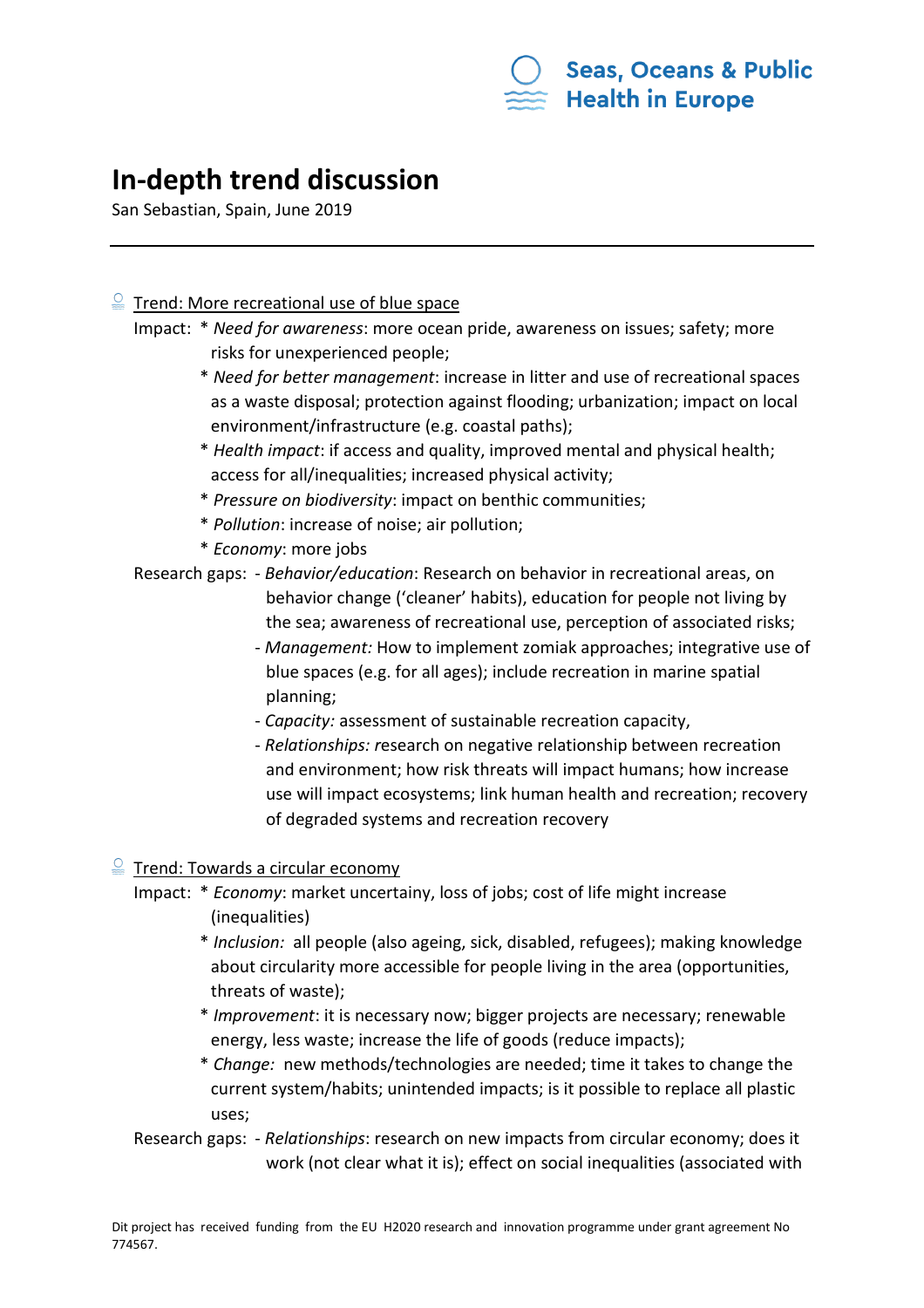

# **In-depth trend discussion**

San Sebastian, Spain, June 2019

# $\frac{Q}{m}$  Trend: More recreational use of blue space

- Impact: \* *Need for awareness*: more ocean pride, awareness on issues; safety; more risks for unexperienced people;
	- \* *Need for better management*: increase in litter and use of recreational spaces as a waste disposal; protection against flooding; urbanization; impact on local environment/infrastructure (e.g. coastal paths);
	- \* *Health impact*: if access and quality, improved mental and physical health; access for all/inequalities; increased physical activity;
	- \* *Pressure on biodiversity*: impact on benthic communities;
	- \* *Pollution*: increase of noise; air pollution;
	- \* *Economy*: more jobs

Research gaps: - *Behavior/education*: Research on behavior in recreational areas, on behavior change ('cleaner' habits), education for people not living by the sea; awareness of recreational use, perception of associated risks;

- *Management:* How to implement zomiak approaches; integrative use of blue spaces (e.g. for all ages); include recreation in marine spatial planning;
- *Capacity:* assessment of sustainable recreation capacity,
- *Relationships: r*esearch on negative relationship between recreation and environment; how risk threats will impact humans; how increase use will impact ecosystems; link human health and recreation; recovery of degraded systems and recreation recovery

### $\frac{Q}{2}$  Trend: Towards a circular economy

- Impact: \* *Economy*: market uncertainy, loss of jobs; cost of life might increase (inequalities)
	- \* *Inclusion:* all people (also ageing, sick, disabled, refugees); making knowledge about circularity more accessible for people living in the area (opportunities, threats of waste);
	- \* *Improvement*: it is necessary now; bigger projects are necessary; renewable energy, less waste; increase the life of goods (reduce impacts);
	- \* *Change:* new methods/technologies are needed; time it takes to change the current system/habits; unintended impacts; is it possible to replace all plastic uses;
- Research gaps: *Relationships*: research on new impacts from circular economy; does it work (not clear what it is); effect on social inequalities (associated with